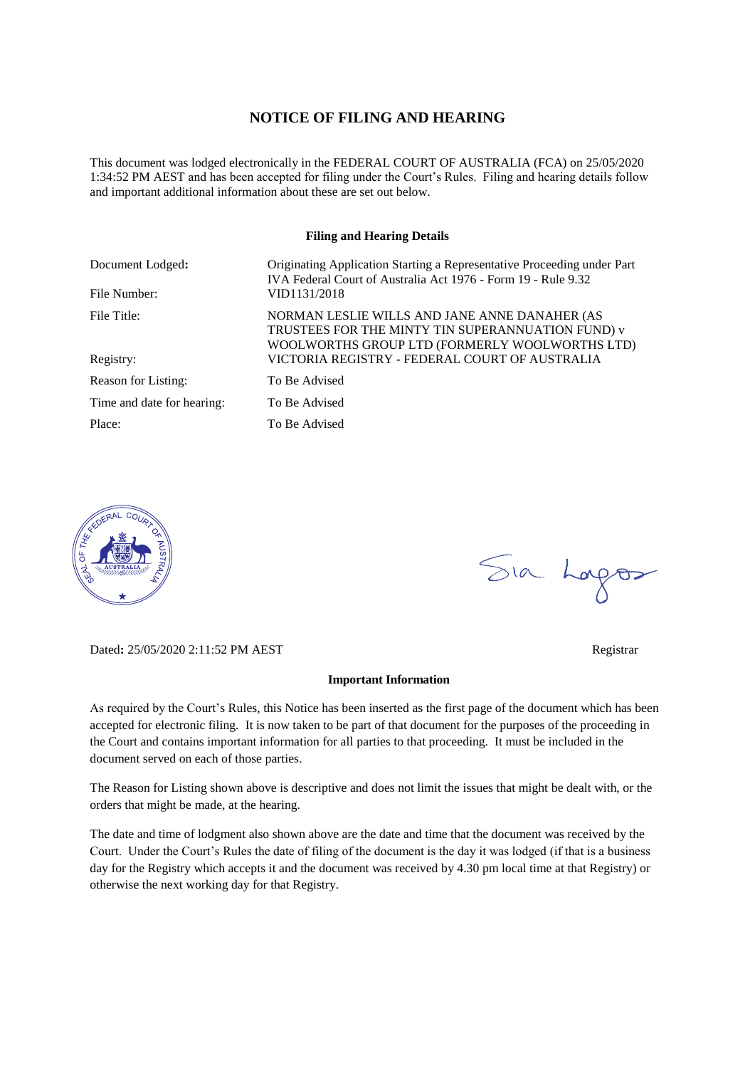#### **NOTICE OF FILING AND HEARING**

This document was lodged electronically in the FEDERAL COURT OF AUSTRALIA (FCA) on 25/05/2020 1:34:52 PM AEST and has been accepted for filing under the Court's Rules. Filing and hearing details follow and important additional information about these are set out below.

#### **Filing and Hearing Details**

| Document Lodged:           | Originating Application Starting a Representative Proceeding under Part<br>IVA Federal Court of Australia Act 1976 - Form 19 - Rule 9.32             |
|----------------------------|------------------------------------------------------------------------------------------------------------------------------------------------------|
| File Number:               | VID1131/2018                                                                                                                                         |
| File Title:                | NORMAN LESLIE WILLS AND JANE ANNE DANAHER (AS<br>TRUSTEES FOR THE MINTY TIN SUPERANNUATION FUND) v<br>WOOLWORTHS GROUP LTD (FORMERLY WOOLWORTHS LTD) |
| Registry:                  | VICTORIA REGISTRY - FEDERAL COURT OF AUSTRALIA                                                                                                       |
| Reason for Listing:        | To Be Advised                                                                                                                                        |
| Time and date for hearing: | To Be Advised                                                                                                                                        |
| Place:                     | To Be Advised                                                                                                                                        |



Dated**:** 25/05/2020 2:11:52 PM AEST Registrar

# Sia Logos

#### **Important Information**

As required by the Court's Rules, this Notice has been inserted as the first page of the document which has been accepted for electronic filing. It is now taken to be part of that document for the purposes of the proceeding in the Court and contains important information for all parties to that proceeding. It must be included in the document served on each of those parties.

The Reason for Listing shown above is descriptive and does not limit the issues that might be dealt with, or the orders that might be made, at the hearing.

The date and time of lodgment also shown above are the date and time that the document was received by the Court. Under the Court's Rules the date of filing of the document is the day it was lodged (if that is a business day for the Registry which accepts it and the document was received by 4.30 pm local time at that Registry) or otherwise the next working day for that Registry.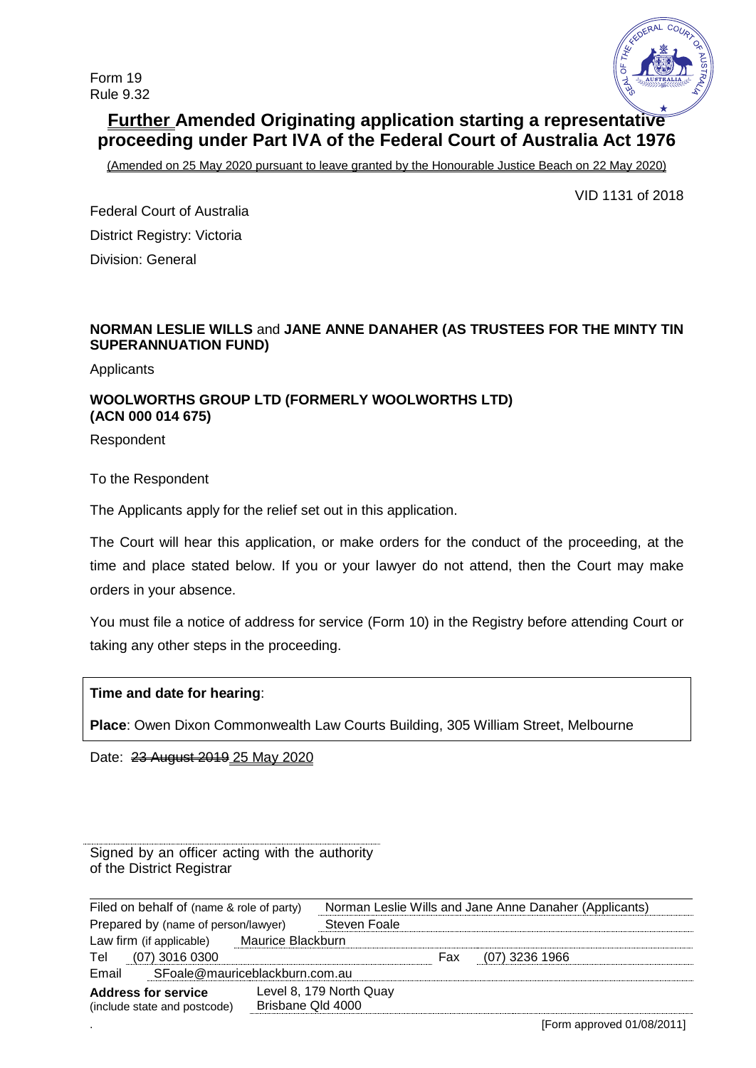

# **Further Amended Originating application starting a representative proceeding under Part IVA of the Federal Court of Australia Act 1976**

(Amended on 25 May 2020 pursuant to leave granted by the Honourable Justice Beach on 22 May 2020)

VID 1131 of 2018

Federal Court of Australia District Registry: Victoria Division: General

# **NORMAN LESLIE WILLS** and **JANE ANNE DANAHER (AS TRUSTEES FOR THE MINTY TIN SUPERANNUATION FUND)**

**Applicants** 

# **WOOLWORTHS GROUP LTD (FORMERLY WOOLWORTHS LTD) (ACN 000 014 675)**

Respondent

To the Respondent

The Applicants apply for the relief set out in this application.

The Court will hear this application, or make orders for the conduct of the proceeding, at the time and place stated below. If you or your lawyer do not attend, then the Court may make orders in your absence.

You must file a notice of address for service (Form 10) in the Registry before attending Court or taking any other steps in the proceeding.

**Time and date for hearing**:

**Place**: Owen Dixon Commonwealth Law Courts Building, 305 William Street, Melbourne

Date: 23 August 2019 25 May 2020

Signed by an officer acting with the authority of the District Registrar

| Filed on behalf of (name & role of party) |                   | Norman Leslie Wills and Jane Anne Danaher (Applicants) |     |                  |  |  |
|-------------------------------------------|-------------------|--------------------------------------------------------|-----|------------------|--|--|
| Prepared by (name of person/lawyer)       |                   | Steven Foale                                           |     |                  |  |  |
| Law firm (if applicable)                  | Maurice Blackburn |                                                        |     |                  |  |  |
| $(07)$ 3016 0300<br>Tel                   |                   |                                                        | Fax | $(07)$ 3236 1966 |  |  |
| SFoale@mauriceblackburn.com.au<br>Email   |                   |                                                        |     |                  |  |  |
| <b>Address for service</b>                |                   | Level 8, 179 North Quay                                |     |                  |  |  |
| (include state and postcode)              | Brisbane Qld 4000 |                                                        |     |                  |  |  |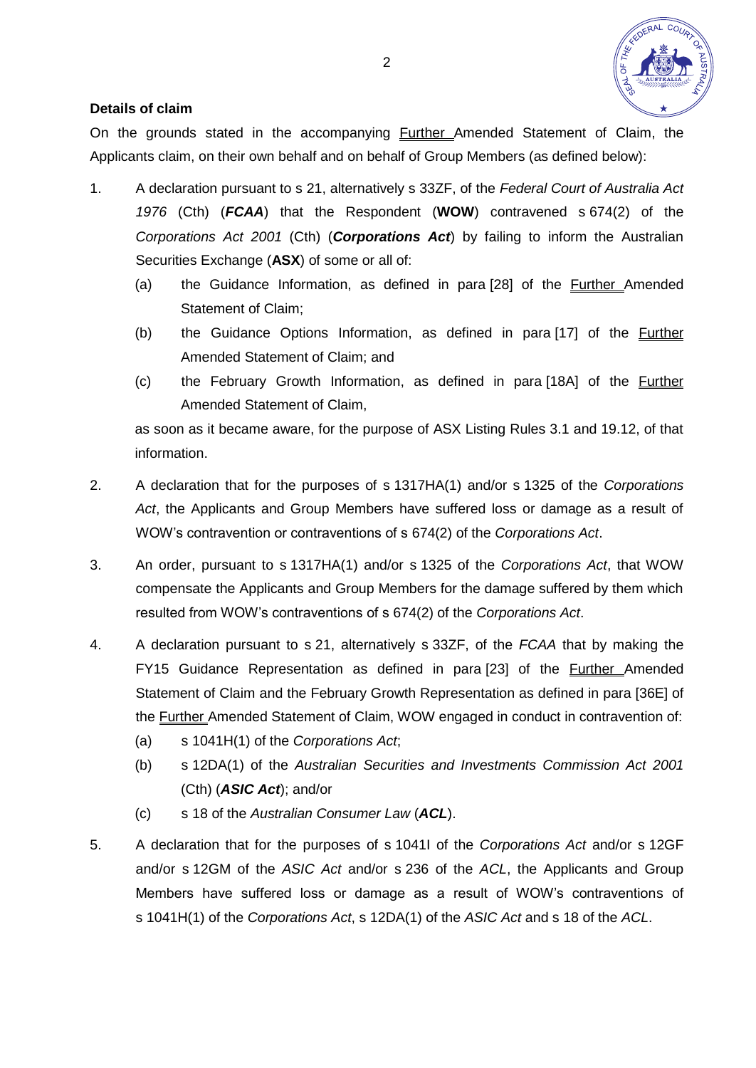

# **Details of claim**

On the grounds stated in the accompanying Further Amended Statement of Claim, the Applicants claim, on their own behalf and on behalf of Group Members (as defined below):

- 1. A declaration pursuant to s 21, alternatively s 33ZF, of the *Federal Court of Australia Act 1976* (Cth) (*FCAA*) that the Respondent (**WOW**) contravened s 674(2) of the *Corporations Act 2001* (Cth) (*Corporations Act*) by failing to inform the Australian Securities Exchange (**ASX**) of some or all of:
	- (a) the Guidance Information, as defined in para [28] of the Further Amended Statement of Claim;
	- (b) the Guidance Options Information, as defined in para [17] of the Further Amended Statement of Claim; and
	- (c) the February Growth Information, as defined in para [18A] of the Further Amended Statement of Claim,

as soon as it became aware, for the purpose of ASX Listing Rules 3.1 and 19.12, of that information.

- 2. A declaration that for the purposes of s 1317HA(1) and/or s 1325 of the *Corporations Act*, the Applicants and Group Members have suffered loss or damage as a result of WOW's contravention or contraventions of s 674(2) of the *Corporations Act*.
- 3. An order, pursuant to s 1317HA(1) and/or s 1325 of the *Corporations Act*, that WOW compensate the Applicants and Group Members for the damage suffered by them which resulted from WOW's contraventions of s 674(2) of the *Corporations Act*.
- 4. A declaration pursuant to s 21, alternatively s 33ZF, of the *FCAA* that by making the FY15 Guidance Representation as defined in para [23] of the **Further Amended** Statement of Claim and the February Growth Representation as defined in para [36E] of the Further Amended Statement of Claim, WOW engaged in conduct in contravention of:
	- (a) s 1041H(1) of the *Corporations Act*;
	- (b) s 12DA(1) of the *Australian Securities and Investments Commission Act 2001* (Cth) (*ASIC Act*); and/or
	- (c) s 18 of the *Australian Consumer Law* (*ACL*).
- 5. A declaration that for the purposes of s 1041I of the *Corporations Act* and/or s 12GF and/or s 12GM of the *ASIC Act* and/or s 236 of the *ACL*, the Applicants and Group Members have suffered loss or damage as a result of WOW's contraventions of s 1041H(1) of the *Corporations Act*, s 12DA(1) of the *ASIC Act* and s 18 of the *ACL*.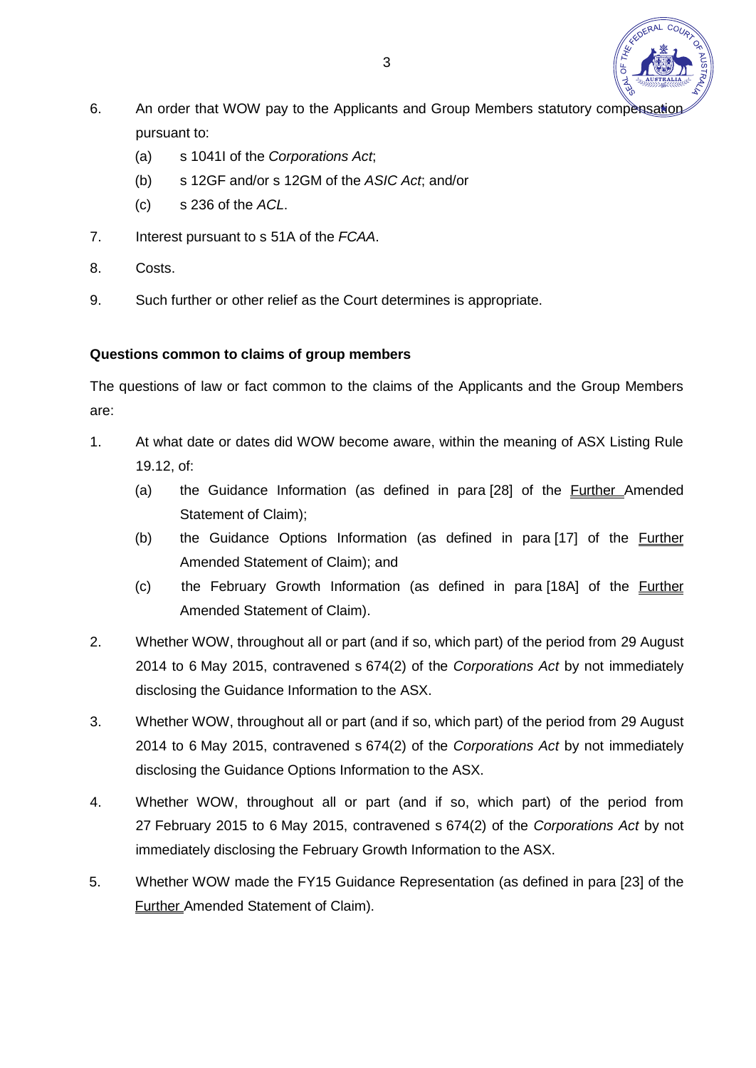

- 6. An order that WOW pay to the Applicants and Group Members statutory compensation pursuant to:
	- (a) s 1041I of the *Corporations Act*;
	- (b) s 12GF and/or s 12GM of the *ASIC Act*; and/or
	- (c) s 236 of the *ACL*.
- 7. Interest pursuant to s 51A of the *FCAA*.
- 8. Costs.
- 9. Such further or other relief as the Court determines is appropriate.

# **Questions common to claims of group members**

The questions of law or fact common to the claims of the Applicants and the Group Members are:

- 1. At what date or dates did WOW become aware, within the meaning of ASX Listing Rule 19.12, of:
	- (a) the Guidance Information (as defined in para [28] of the Further Amended Statement of Claim);
	- (b) the Guidance Options Information (as defined in para [17] of the Further Amended Statement of Claim); and
	- (c) the February Growth Information (as defined in para [18A] of the Further Amended Statement of Claim).
- 2. Whether WOW, throughout all or part (and if so, which part) of the period from 29 August 2014 to 6 May 2015, contravened s 674(2) of the *Corporations Act* by not immediately disclosing the Guidance Information to the ASX.
- 3. Whether WOW, throughout all or part (and if so, which part) of the period from 29 August 2014 to 6 May 2015, contravened s 674(2) of the *Corporations Act* by not immediately disclosing the Guidance Options Information to the ASX.
- 4. Whether WOW, throughout all or part (and if so, which part) of the period from 27 February 2015 to 6 May 2015, contravened s 674(2) of the *Corporations Act* by not immediately disclosing the February Growth Information to the ASX.
- <span id="page-3-0"></span>5. Whether WOW made the FY15 Guidance Representation (as defined in para [23] of the **Further Amended Statement of Claim).**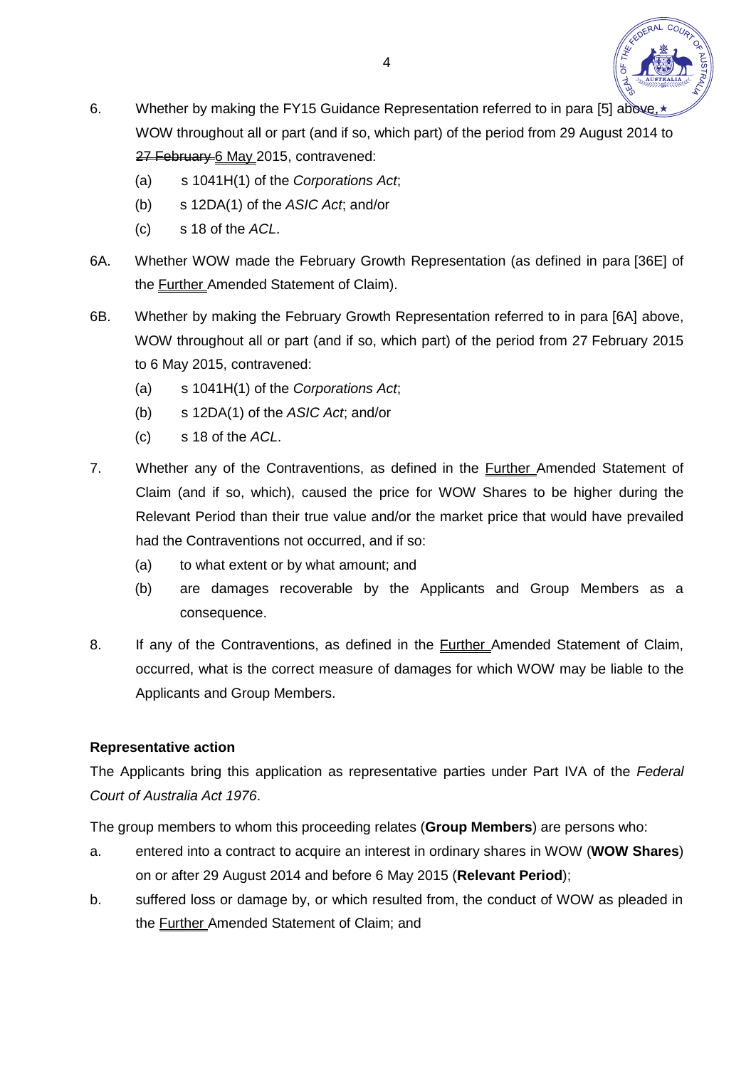

- 6. Whether by making the FY15 Guidance Representation referred to in para [\[5\]](#page-3-0) above. WOW throughout all or part (and if so, which part) of the period from 29 August 2014 to 27 February 6 May 2015, contravened:
	- (a) s 1041H(1) of the *Corporations Act*;
	- (b) s 12DA(1) of the *ASIC Act*; and/or
	- (c) s 18 of the *ACL*.
- 6A. Whether WOW made the February Growth Representation (as defined in para [36E] of the Further Amended Statement of Claim).
- 6B. Whether by making the February Growth Representation referred to in para [6A] above, WOW throughout all or part (and if so, which part) of the period from 27 February 2015 to 6 May 2015, contravened:
	- (a) s 1041H(1) of the *Corporations Act*;
	- (b) s 12DA(1) of the *ASIC Act*; and/or
	- (c) s 18 of the *ACL*.
- 7. Whether any of the Contraventions, as defined in the **Further Amended Statement of** Claim (and if so, which), caused the price for WOW Shares to be higher during the Relevant Period than their true value and/or the market price that would have prevailed had the Contraventions not occurred, and if so:
	- (a) to what extent or by what amount; and
	- (b) are damages recoverable by the Applicants and Group Members as a consequence.
- 8. If any of the Contraventions, as defined in the **Further Amended Statement of Claim**, occurred, what is the correct measure of damages for which WOW may be liable to the Applicants and Group Members.

## **Representative action**

The Applicants bring this application as representative parties under Part IVA of the *Federal Court of Australia Act 1976*.

The group members to whom this proceeding relates (**Group Members**) are persons who:

- a. entered into a contract to acquire an interest in ordinary shares in WOW (**WOW Shares**) on or after 29 August 2014 and before 6 May 2015 (**Relevant Period**);
- b. suffered loss or damage by, or which resulted from, the conduct of WOW as pleaded in the Further Amended Statement of Claim; and